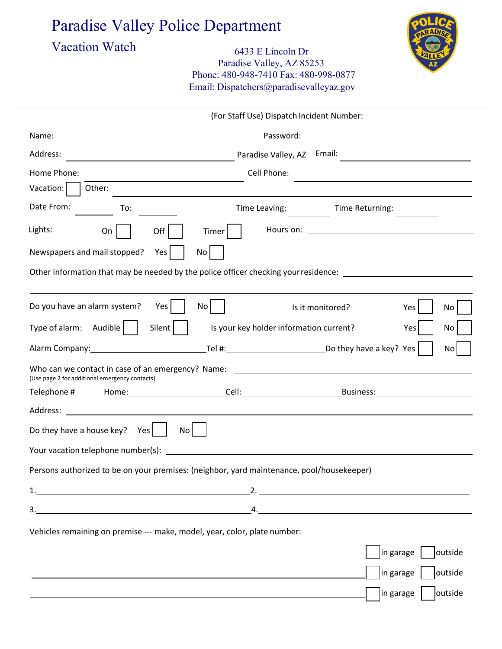## Paradise Valley Police Department

## Vacation Watch 6433 E Lincoln Dr Paradise Valley, AZ 85253 Phone: 480-948-7410 Fax: 480-998-0877 Email: Dispatchers@paradisevalleyaz.gov



| in garage | | outside

| Address:                                                                                                                            |                                                                                                                        |                                           |  |  |
|-------------------------------------------------------------------------------------------------------------------------------------|------------------------------------------------------------------------------------------------------------------------|-------------------------------------------|--|--|
| Home Phone:                                                                                                                         | Cell Phone:                                                                                                            |                                           |  |  |
| Vacation:<br>Other:                                                                                                                 |                                                                                                                        |                                           |  |  |
| Date From:<br>To:                                                                                                                   | Time Leaving:                                                                                                          | Time Returning:                           |  |  |
| Lights:<br>On<br>Off                                                                                                                | Timer                                                                                                                  |                                           |  |  |
| Newspapers and mail stopped?<br>Yes<br>No <sub>1</sub>                                                                              |                                                                                                                        |                                           |  |  |
| Other information that may be needed by the police officer checking your residence: __________________________                      |                                                                                                                        |                                           |  |  |
|                                                                                                                                     |                                                                                                                        |                                           |  |  |
| Do you have an alarm system?<br>Yes  <br>No                                                                                         | Is it monitored?                                                                                                       | Yes<br>No                                 |  |  |
| Type of alarm: Audible<br>Silent                                                                                                    | Is your key holder information current?                                                                                | Yes<br>No                                 |  |  |
|                                                                                                                                     |                                                                                                                        | No                                        |  |  |
| Who can we contact in case of an emergency? Name: _______________________________<br>(Use page 2 for additional emergency contacts) |                                                                                                                        |                                           |  |  |
| Telephone # Home: Cell: Cell: Business: Business:                                                                                   |                                                                                                                        |                                           |  |  |
|                                                                                                                                     |                                                                                                                        |                                           |  |  |
| Do they have a house key? Yes<br>No l                                                                                               |                                                                                                                        |                                           |  |  |
|                                                                                                                                     |                                                                                                                        |                                           |  |  |
| Persons authorized to be on your premises: (neighbor, yard maintenance, pool/housekeeper)                                           |                                                                                                                        |                                           |  |  |
|                                                                                                                                     |                                                                                                                        |                                           |  |  |
|                                                                                                                                     |                                                                                                                        |                                           |  |  |
| Vehicles remaining on premise --- make, model, year, color, plate number:                                                           |                                                                                                                        |                                           |  |  |
|                                                                                                                                     |                                                                                                                        | in garage  <br>outside                    |  |  |
|                                                                                                                                     | <u> 1989 - Johann Stoff, deutscher Stoffen und der Stoffen und der Stoffen und der Stoffen und der Stoffen und der</u> | $\vert$ in garage $\vert$ $\vert$ outside |  |  |
|                                                                                                                                     |                                                                                                                        |                                           |  |  |